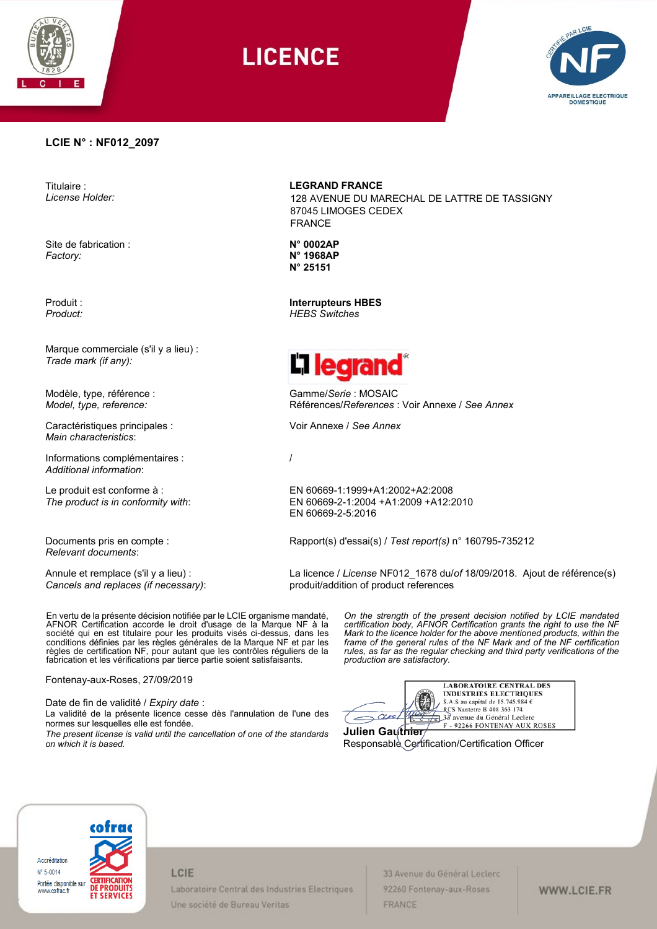

# **LICENCE**



### **LCIE N° : NF012\_2097**

Titulaire : *License Holder:*

Site de fabrication : *Factory:*

Produit : *Product:*

Marque commerciale (s'il y a lieu) : *Trade mark (if any):*

Modèle, type, référence : *Model, type, reference:*

Caractéristiques principales : *Main characteristics*:

Informations complémentaires : *Additional information*:

Le produit est conforme à : *The product is in conformity with*:

Documents pris en compte : *Relevant documents*:

Annule et remplace (s'il y a lieu) : *Cancels and replaces (if necessary)*:

En vertu de la présente décision notifiée par le LCIE organisme mandaté, AFNOR Certification accorde le droit d'usage de la Marque NF à la société qui en est titulaire pour les produits visés ci-dessus, dans les conditions définies par les règles générales de la Marque NF et par les règles de certification NF, pour autant que les contrôles réguliers de la fabrication et les vérifications par tierce partie soient satisfaisants.

Fontenay-aux-Roses, 27/09/2019

Date de fin de validité / *Expiry date* :

La validité de la présente licence cesse dès l'annulation de l'une des normes sur lesquelles elle est fondée.

*The present license is valid until the cancellation of one of the standards on which it is based.*

**LEGRAND FRANCE**

128 AVENUE DU MARECHAL DE LATTRE DE TASSIGNY 87045 LIMOGES CEDEX FRANCE

**N° 0002AP N° 1968AP N° 25151**

**Interrupteurs HBES** *HEBS Switches*



Gamme/*Serie* : MOSAIC Références/*References* : Voir Annexe / *See Annex*

Voir Annexe / *See Annex*

/

EN 60669-1:1999+A1:2002+A2:2008 EN 60669-2-1:2004 +A1:2009 +A12:2010 EN 60669-2-5:2016

Rapport(s) d'essai(s) / *Test report(s)* n° 160795-735212

La licence / *License* NF012\_1678 du/*of* 18/09/2018. Ajout de référence(s) produit/addition of product references

> *On the strength of the present decision notified by LCIE mandated certification body, AFNOR Certification grants the right to use the NF Mark to the licence holder for the above mentioned products, within the frame of the general rules of the NF Mark and of the NF certification rules, as far as the regular checking and third party verifications of the production are satisfactory.*

**LABORATOIRE CENTRAL DES INDUSTRIES ELECTRIQUES** S.A.S au capital de 15.745.984 e<br>RCS Nantere B 408 363 174<br> $\overline{AB}$  38 avenue du Général Leclere  $-\alpha$ ul F - 92266 FONTENAY AUX ROSES

**Julien Gauthier** Responsable Certification/Certification Officer



LCIE

Laboratoire Central des Industries Electriques Une société de Bureau Veritas

33 Avenue du Général Leclerc 92260 Fontenay-aux-Roses FRANCE

## WWW.LCIE.FR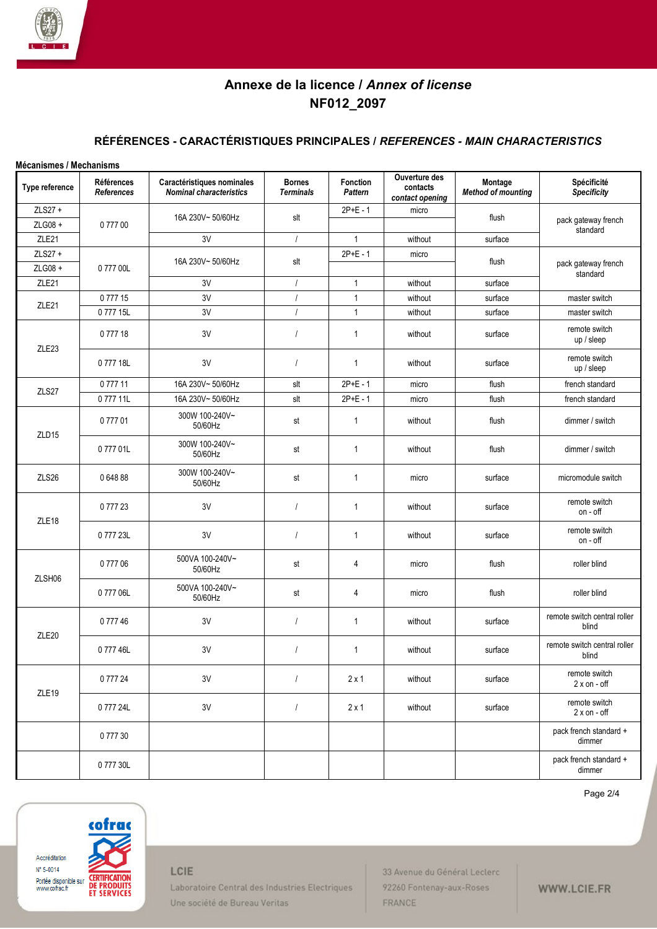

# **Annexe de la licence /** *Annex of license* **NF012\_2097**

## **RÉFÉRENCES - CARACTÉRISTIQUES PRINCIPALES /** *REFERENCES - MAIN CHARACTERISTICS*

| Mécanismes / Mechanisms |                          |                                                              |                                   |                     |                                              |                                      |                                       |
|-------------------------|--------------------------|--------------------------------------------------------------|-----------------------------------|---------------------|----------------------------------------------|--------------------------------------|---------------------------------------|
| Type reference          | Références<br>References | Caractéristiques nominales<br><b>Nominal characteristics</b> | <b>Bornes</b><br><b>Terminals</b> | Fonction<br>Pattern | Ouverture des<br>contacts<br>contact opening | Montage<br><b>Method of mounting</b> | Spécificité<br><b>Specificity</b>     |
| ZLS27 +                 | 077700                   | 16A 230V~50/60Hz<br>3V                                       | slt                               | $2P+E - 1$          | micro                                        | flush                                |                                       |
| ZLG08 +                 |                          |                                                              |                                   |                     |                                              |                                      | pack gateway french<br>standard       |
| ZLE21                   |                          |                                                              | $\overline{1}$                    | $\mathbf{1}$        | without                                      | surface                              |                                       |
| ZLS27 +                 | 077700L                  | 16A 230V~50/60Hz                                             | slt                               | $2P+E - 1$          | micro                                        | flush                                |                                       |
| ZLG08 +                 |                          |                                                              |                                   |                     |                                              |                                      | pack gateway french<br>standard       |
| ZLE21                   |                          | 3V                                                           | $\prime$                          | $\mathbf{1}$        | without                                      | surface                              |                                       |
| ZLE21                   | 077715                   | 3V                                                           | $\overline{1}$                    | $\mathbf{1}$        | without                                      | surface                              | master switch                         |
|                         | 077715L                  | 3V                                                           | $\prime$                          | $\mathbf{1}$        | without                                      | surface                              | master switch                         |
| ZLE23                   | 077718                   | 3V                                                           | $\prime$                          | $\mathbf{1}$        | without                                      | surface                              | remote switch<br>up / sleep           |
|                         | 077718L                  | 3V                                                           | $\overline{1}$                    | $\overline{1}$      | without                                      | surface                              | remote switch<br>$up$ / sleep         |
| ZLS27                   | 077711                   | 16A 230V~50/60Hz                                             | slt                               | $2P+E - 1$          | micro                                        | flush                                | french standard                       |
|                         | 077711L                  | 16A 230V~50/60Hz                                             | slt                               | $2P+E - 1$          | micro                                        | flush                                | french standard                       |
|                         | 077701                   | 300W 100-240V~<br>50/60Hz                                    | st                                | $\overline{1}$      | without                                      | flush                                | dimmer / switch                       |
| ZLD15                   | 077701L                  | 300W 100-240V~<br>50/60Hz                                    | st                                | 1                   | without                                      | flush                                | dimmer / switch                       |
| ZLS26                   | 064888                   | 300W 100-240V~<br>50/60Hz                                    | st                                | $\mathbf{1}$        | micro                                        | surface                              | micromodule switch                    |
| ZLE18                   | 077723                   | 3V                                                           | $\sqrt{ }$                        | $\mathbf{1}$        | without                                      | surface                              | remote switch<br>on - off             |
|                         | 077723L                  | 3V                                                           | $\prime$                          | $\mathbf{1}$        | without                                      | surface                              | remote switch<br>on - off             |
| ZLSH06                  | 0 777 06                 | 500VA 100-240V~<br>50/60Hz                                   | st                                | 4                   | micro                                        | flush                                | roller blind                          |
|                         | 077706L                  | 500VA 100-240V~<br>50/60Hz                                   | st                                | 4                   | micro                                        | flush                                | roller blind                          |
| ZLE20                   | 077746                   | 3V                                                           | $\prime$                          | 1                   | without                                      | surface                              | remote switch central roller<br>blind |
|                         | 077746L                  | 3V                                                           | $\prime$                          | 1                   | without                                      | surface                              | remote switch central roller<br>blind |
| ZLE19                   | 0 777 24                 | 3V                                                           | $\prime$                          | $2 \times 1$        | without                                      | surface                              | remote switch<br>$2 x$ on - off       |
|                         | 077724L                  | 3V                                                           | $\overline{1}$                    | $2 \times 1$        | without                                      | surface                              | remote switch<br>$2 x$ on - off       |
|                         | 077730                   |                                                              |                                   |                     |                                              |                                      | pack french standard +<br>dimmer      |
|                         | 077730L                  |                                                              |                                   |                     |                                              |                                      | pack french standard +<br>dimmer      |

Page 2/4



LCIE

Laboratoire Central des Industries Electriques Une société de Bureau Veritas

33 Avenue du Général Leclerc 92260 Fontenay-aux-Roses FRANCE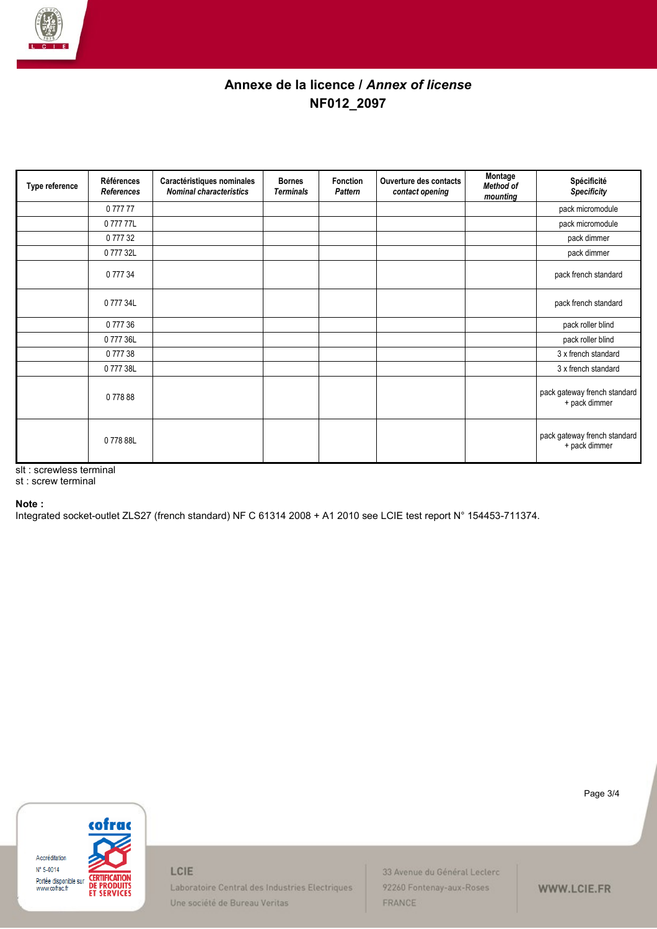

# **Annexe de la licence /** *Annex of license* **NF012\_2097**

| Type reference | Références<br>References | Caractéristiques nominales<br><b>Nominal characteristics</b> | <b>Bornes</b><br><b>Terminals</b> | Fonction<br>Pattern | Ouverture des contacts<br>contact opening | Montage<br>Method of<br>mounting | Spécificité<br><b>Specificity</b>             |
|----------------|--------------------------|--------------------------------------------------------------|-----------------------------------|---------------------|-------------------------------------------|----------------------------------|-----------------------------------------------|
|                | 077777                   |                                                              |                                   |                     |                                           |                                  | pack micromodule                              |
|                | 0 777 77L                |                                                              |                                   |                     |                                           |                                  | pack micromodule                              |
|                | 0 777 32                 |                                                              |                                   |                     |                                           |                                  | pack dimmer                                   |
|                | 0 777 32L                |                                                              |                                   |                     |                                           |                                  | pack dimmer                                   |
|                | 0 777 34                 |                                                              |                                   |                     |                                           |                                  | pack french standard                          |
|                | 0 777 34L                |                                                              |                                   |                     |                                           |                                  | pack french standard                          |
|                | 0 777 36                 |                                                              |                                   |                     |                                           |                                  | pack roller blind                             |
|                | 0 777 36L                |                                                              |                                   |                     |                                           |                                  | pack roller blind                             |
|                | 077738                   |                                                              |                                   |                     |                                           |                                  | 3 x french standard                           |
|                | 0 777 38L                |                                                              |                                   |                     |                                           |                                  | 3 x french standard                           |
|                | 077888                   |                                                              |                                   |                     |                                           |                                  | pack gateway french standard<br>+ pack dimmer |
|                | 077888L                  |                                                              |                                   |                     |                                           |                                  | pack gateway french standard<br>+ pack dimmer |

slt : screwless terminal

st : screw terminal

### **Note :**

Integrated socket-outlet ZLS27 (french standard) NF C 61314 2008 + A1 2010 see LCIE test report N° 154453-711374.



Page 3/4

Laboratoire Central des Industries Electriques Une société de Bureau Veritas

LCIE

33 Avenue du Général Leclerc 92260 Fontenay-aux-Roses FRANCE

WWW.LCIE.FR